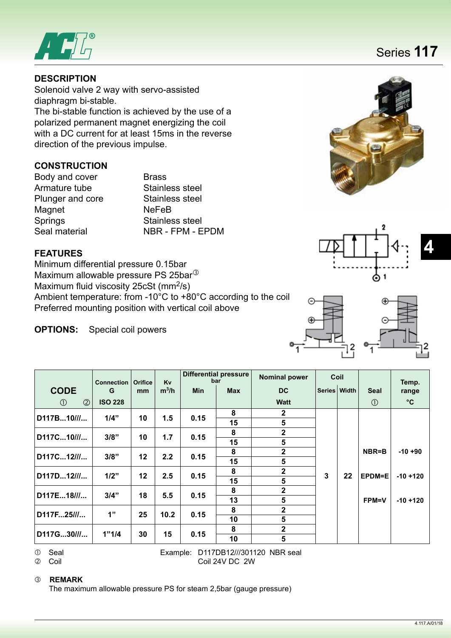

# **DESCRIPTION**

Solenoid valve 2 way with servo-assisted diaphragm bi-stable.

The bi-stable function is achieved by the use of a polarized permanent magnet energizing the coil with a DC current for at least 15ms in the reverse direction of the previous impulse.

# **CONSTRUCTION**

Body and cover **Brass** Armature tube Stainless steel Plunger and core Stainless steel Magnet NeFeB Springs Stainless steel<br>Seal material Seal NBR - FPM - E

NBR - FPM - EPDM

# **FEATURES**

Minimum differential pressure 0.15bar Maximum allowable pressure PS 25bar<sup>3</sup> Maximum fluid viscosity 25 $cSt$  (mm<sup>2</sup>/s) Ambient temperature: from -10°C to +80°C according to the coil Preferred mounting position with vertical coil above

**OPTIONS:** Special coil powers

|                                | <b>Connection</b> | <b>Orifice</b> | <b>Kv</b> |            | <b>Differential pressure</b><br>bar | <b>Nominal power</b> | Coil           |    |               | Temp.        |
|--------------------------------|-------------------|----------------|-----------|------------|-------------------------------------|----------------------|----------------|----|---------------|--------------|
| <b>CODE</b>                    | G                 | mm             | $m^3/h$   | <b>Min</b> | <b>Max</b>                          | DC                   | Series   Width |    | <b>Seal</b>   | range        |
| $\circled{2}$<br>$\circled{0}$ | <b>ISO 228</b>    |                |           |            |                                     | <b>Watt</b>          |                |    | $\circled{1}$ | $^{\circ}$ C |
| $D117B10$ ///                  | 1/4"              | 10             | 1.5       | 0.15       | 8                                   | $\mathbf{2}$         |                |    |               |              |
|                                |                   |                |           |            | 15                                  | 5                    |                |    |               |              |
| D117C10                        | 3/8"              | 10             | 1.7       | 0.15       | 8                                   | $\mathbf 2$          |                |    |               |              |
|                                |                   |                |           |            | 15                                  | 5                    |                |    |               |              |
| D117C12///                     | 3/8"              | 12             | 2.2       |            | 8                                   | $\overline{2}$       |                |    | NBR=B         | $-10+90$     |
|                                |                   |                |           | 0.15       | 15                                  | 5                    | 3              | 22 |               |              |
| D117D12///                     | 1/2"              | 12             | 2.5       |            | 8                                   | $\mathbf{2}$         |                |    |               |              |
|                                |                   |                |           | 0.15       | 15                                  | 5                    |                |    | EPDM=E        | $-10 + 120$  |
|                                |                   |                |           |            | 8                                   | $\mathbf{2}$         |                |    |               |              |
| D117E18///                     | 3/4"              | 18             | 5.5       | 0.15       | 13                                  | 5                    |                |    | <b>FPM=V</b>  | $-10 + 120$  |
|                                | 1"                |                |           |            | 8                                   | $\overline{2}$       |                |    |               |              |
| D117F25///                     |                   | 25             | 10.2      | 0.15       | 10                                  | 5                    |                |    |               |              |
|                                |                   |                |           |            | 8                                   | $\mathbf{2}$         |                |    |               |              |
| D117G30///                     | 1"1/4             | 30             | 15        | 0.15       | 10                                  | 5                    |                |    |               |              |

 Seal Example: D117DB12///301120 NBR seal Coil Coil 24V DC 2W

#### **REMARK**

The maximum allowable pressure PS for steam 2,5bar (gauge pressure)







Series **117**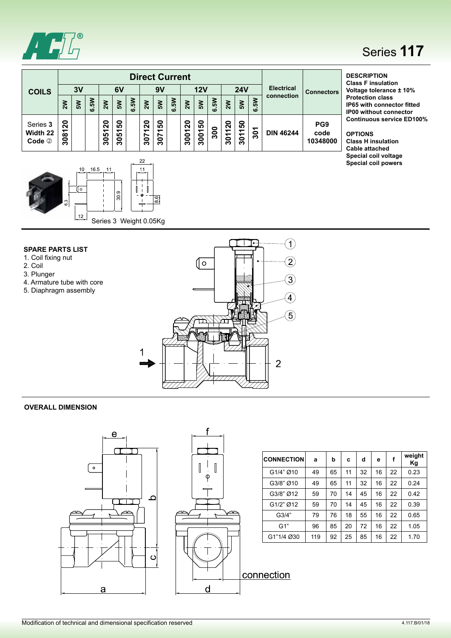

# Series **117**

**Special coil powers**

| <b>COILS</b>                     | <b>Direct Current</b><br>3V<br>12V<br>6V<br>9V |   |                          |                |                       |      |                                      |             |    |             |                       |      | <b>24V</b>                                                 |              |                      | <b>Electrical</b> | <b>Connectors</b>                   | <b>DESCRIPTION</b><br><b>Class F insulation</b><br>Voltage tolerance ± 10%                        |  |
|----------------------------------|------------------------------------------------|---|--------------------------|----------------|-----------------------|------|--------------------------------------|-------------|----|-------------|-----------------------|------|------------------------------------------------------------|--------------|----------------------|-------------------|-------------------------------------|---------------------------------------------------------------------------------------------------|--|
|                                  | $\mathbf{z}$                                   | Š | క్ట<br>$\mathbf{\omega}$ | $\mathbf{M}$   | $\mathbf{M}$          | 6.5W | $\sum_{k=1}^{N}$                     | Š٧          | Šν | $\geqslant$ | $\mathbf{S}^{\prime}$ | 6.5W | $\sum_{i=1}^{n}$                                           | $\mathsf{S}$ | 5N<br>$\overline{0}$ | connection        |                                     | <b>Protection class</b><br><b>IP65 with connector fitted</b><br><b>IP00 without connector</b>     |  |
| Series 3<br>Width 22<br>Code $@$ | ន<br><u>रु</u><br>ခ္က                          |   |                          | 20<br>5<br>င္က | នី<br><u>은</u><br>င္က |      | 0<br>$\overline{\mathbf{N}}$<br>3071 | င္စ<br>3071 |    | 300120      | ន<br>3001             | 300  | $\overline{\mathbf{S}}$<br>$\overline{\phantom{0}}$<br>301 | 50<br>3011   | ᠇<br>$\overline{30}$ | <b>DIN 46244</b>  | PG <sub>9</sub><br>code<br>10348000 | <b>Continuous service ED100%</b><br><b>OPTIONS</b><br><b>Class H insulation</b><br>Cable attached |  |
|                                  |                                                |   |                          |                |                       |      |                                      |             |    |             |                       |      |                                                            |              |                      |                   |                                     | Special coil voltage                                                                              |  |



#### **SPARE PARTS LIST**

- 1. Coil fixing nut
- 2. Coil
- 3. Plunger
- 4. Armature tube with core
- 5. Diaphragm assembly



#### **OVERALL DIMENSION**





| <b>CONNECTION</b> | a   | b  | c  | d  | е  | f  | weight<br>Κg |
|-------------------|-----|----|----|----|----|----|--------------|
| G1/4" Ø10         | 49  | 65 | 11 | 32 | 16 | 22 | 0.23         |
| G3/8" Ø10         | 49  | 65 | 11 | 32 | 16 | 22 | 0.24         |
| G3/8" Ø12         | 59  | 70 | 14 | 45 | 16 | 22 | 0.42         |
| G1/2" Ø12         | 59  | 70 | 14 | 45 | 16 | 22 | 0.39         |
| G3/4"             | 79  | 76 | 18 | 55 | 16 | 22 | 0.65         |
| G1"               | 96  | 85 | 20 | 72 | 16 | 22 | 1.05         |
| G1"1/4 Ø30        | 119 | 92 | 25 | 85 | 16 | 22 | 1.70         |

# connection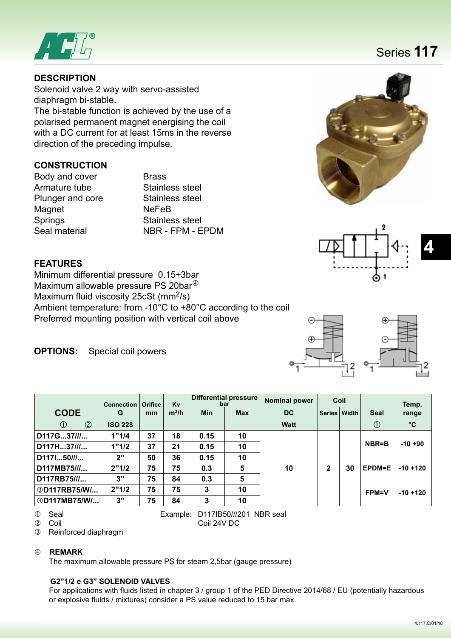

## **DESCRIPTION**

Solenoid valve 2 way with servo-assisted diaphragm bi-stable.

The bi-stable function is achieved by the use of a polarised permanent magnet energising the coil with a DC current for at least 15ms in the reverse direction of the preceding impulse.

### **CONSTRUCTION**

Body and cover **Brass** Armature tube Stainless steel Plunger and core Stainless steel Magnet NeFeB Springs Stainless steel<br>Seal material Seal NBR - FPM - E

NBR - FPM - FPDM





### **FEATURES**

Minimum differential pressure 0.15÷3bar Maximum allowable pressure PS 20bar<sup>40</sup> Maximum fluid viscosity 25cSt (mm<sup>2</sup>/s) Ambient temperature: from -10°C to +80°C according to the coil Preferred mounting position with vertical coil above

**OPTIONS:** Special coil powers

|                                | <b>Connection</b> | <b>Orifice</b> | Kv      | Differential pressure<br>bar |            | <b>Nominal power</b> | Coil |              |               | Temp.        |
|--------------------------------|-------------------|----------------|---------|------------------------------|------------|----------------------|------|--------------|---------------|--------------|
| <b>CODE</b>                    | G                 | mm             | $m^3/h$ | <b>Min</b>                   | <b>Max</b> | DC.                  |      | Series Width | <b>Seal</b>   | range        |
| $\circled{2}$<br>$\circled{1}$ | <b>ISO 228</b>    |                |         |                              |            | <b>Watt</b>          |      |              | $\circled{0}$ | $^{\circ}$ C |
| D117G37///                     | 1"1/4             | 37             | 18      | 0.15                         | 10         |                      |      |              |               |              |
| D117H37///                     | 1"1/2             | 37             | 21      | 0.15                         | 10         |                      |      |              | NBR=B         | $-10+90$     |
| D117150///                     | 2"                | 50             | 36      | 0.15                         | 10         |                      |      |              |               |              |
| D117MB75///                    | 2"1/2             | 75             | 75      | 0.3                          | 5          | 10                   | 2    | 30           | EPDM=E        | $-10 + 120$  |
| D117RB75///                    | 3"                | 75             | 84      | 0.3                          | 5          |                      |      |              |               |              |
| <b>3D117RB75/W/</b>            | 2"1/2             | 75             | 75      | 3                            | 10         |                      |      |              | <b>FPM=V</b>  | $-10 + 120$  |
| <b>3D117MB75/W/</b>            | 3"                | 75             | 84      | 3                            | 10         |                      |      |              |               |              |

Seal Example: D117IB50///201 NBR seal

Coil Coil 24V DC

Reinforced diaphragm

#### **REMARK**

The maximum allowable pressure PS for steam 2,5bar (gauge pressure)

#### **G2"1/2 e G3" SOLENOID VALVES**

 For applications with fluids listed in chapter 3 / group 1 of the PED Directive 2014/68 / EU (potentially hazardous or explosive fluids / mixtures) consider a PS value reduced to 15 bar max.